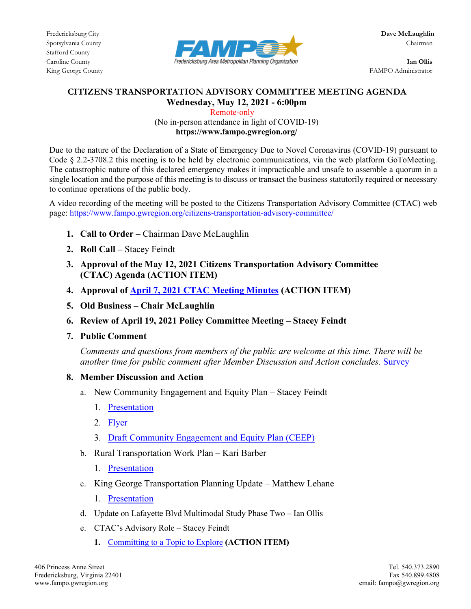

King George County FAMPO Administrator

### **CITIZENS TRANSPORTATION ADVISORY COMMITTEE MEETING AGENDA Wednesday, May 12, 2021 - 6:00pm**

 Remote-only (No in-person attendance in light of COVID-19) **https://www.fampo.gwregion.org/**

Due to the nature of the Declaration of a State of Emergency Due to Novel Coronavirus (COVID-19) pursuant to Code § 2.2-3708.2 this meeting is to be held by electronic communications, via the web platform GoToMeeting. The catastrophic nature of this declared emergency makes it impracticable and unsafe to assemble a quorum in a single location and the purpose of this meeting is to discuss or transact the business statutorily required or necessary to continue operations of the public body.

A video recording of the meeting will be posted to the Citizens Transportation Advisory Committee (CTAC) web page[: https://www.fampo.gwregion.org/citizens-transportation-advisory-committee/](https://www.fampo.gwregion.org/citizens-transportation-advisory-committee/)

- **1. Call to Order**  Chairman Dave McLaughlin
- **2. Roll Call –** Stacey Feindt
- **3. Approval of the May 12, 2021 Citizens Transportation Advisory Committee (CTAC) Agenda (ACTION ITEM)**
- **4. Approval of [April 7, 2021 CTAC Meeting Minutes](https://www.fampo.gwregion.org/wp-content/uploads/2021/04/2021.04.07_CTAC_Draft-Minutes_Staff-Reviewed_V2.pdf) (ACTION ITEM)**
- **5. Old Business – Chair McLaughlin**
- **6. Review of April 19, 2021 Policy Committee Meeting – Stacey Feindt**
- **7. Public Comment**

*Comments and questions from members of the public are welcome at this time. There will be*  another time for public comment after Member Discussion and Action concludes. **[Survey](https://www.fampo.gwregion.org/wp-content/uploads/2020/11/Post_Meeting_Survey_Screenshare.pdf)** 

## **8. Member Discussion and Action**

- a. New Community Engagement and Equity Plan Stacey Feindt
	- 1. [Presentation](https://www.fampo.gwregion.org/wp-content/uploads/2021/04/7i_Presentation-on-Draft-CEEP-4.27.2021.pdf)
	- 2. [Flyer](https://www.fampo.gwregion.org/wp-content/uploads/2021/04/CEEP-Comment-Period-Final-Flyer-larger-print.pdf)
	- 3. [Draft Community Engagement and Equity Plan \(CEEP\)](https://www.fampo.gwregion.org/wp-content/uploads/2021/04/Draft-CEEP-Final-Draft_4.13.2021_V2.pdf)
- b. Rural Transportation Work Plan Kari Barber
	- 1. [Presentation](https://www.fampo.gwregion.org/wp-content/uploads/2021/05/FY-22-RWP-Final-20215_4.pdf)
- c. King George Transportation Planning Update Matthew Lehane
	- 1. [Presentation](https://www.fampo.gwregion.org/wp-content/uploads/2021/05/CTAC_KG-Transit-Study.pptx)
- d. Update on Lafayette Blvd Multimodal Study Phase Two Ian Ollis
- e. CTAC's Advisory Role Stacey Feindt
	- **1.** [Committing to a Topic to Explore](https://www.fampo.gwregion.org/wp-content/uploads/2021/05/Sample-Ideas-for-CTAC-Advisory-Initiatives-1.pdf) **(ACTION ITEM)**